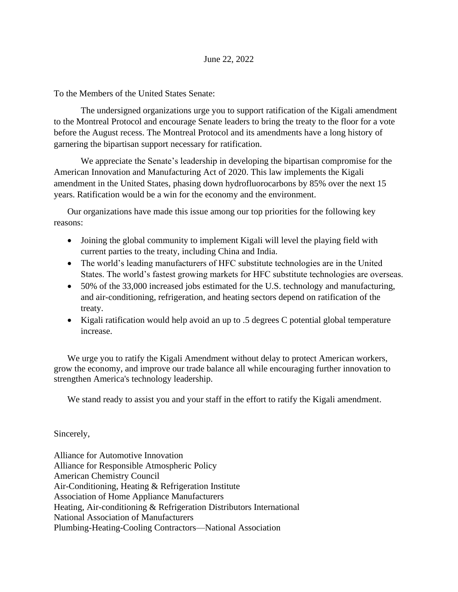To the Members of the United States Senate:

The undersigned organizations urge you to support ratification of the Kigali amendment to the Montreal Protocol and encourage Senate leaders to bring the treaty to the floor for a vote before the August recess. The Montreal Protocol and its amendments have a long history of garnering the bipartisan support necessary for ratification.

We appreciate the Senate's leadership in developing the bipartisan compromise for the American Innovation and Manufacturing Act of 2020. This law implements the Kigali amendment in the United States, phasing down hydrofluorocarbons by 85% over the next 15 years. Ratification would be a win for the economy and the environment.

Our organizations have made this issue among our top priorities for the following key reasons:

- Joining the global community to implement Kigali will level the playing field with current parties to the treaty, including China and India.
- The world's leading manufacturers of HFC substitute technologies are in the United States. The world's fastest growing markets for HFC substitute technologies are overseas.
- 50% of the 33,000 increased jobs estimated for the U.S. technology and manufacturing, and air-conditioning, refrigeration, and heating sectors depend on ratification of the treaty.
- Kigali ratification would help avoid an up to .5 degrees C potential global temperature increase.

We urge you to ratify the Kigali Amendment without delay to protect American workers, grow the economy, and improve our trade balance all while encouraging further innovation to strengthen America's technology leadership.

We stand ready to assist you and your staff in the effort to ratify the Kigali amendment.

Sincerely,

Alliance for Automotive Innovation Alliance for Responsible Atmospheric Policy American Chemistry Council Air-Conditioning, Heating & Refrigeration Institute Association of Home Appliance Manufacturers Heating, Air-conditioning & Refrigeration Distributors International National Association of Manufacturers Plumbing-Heating-Cooling Contractors—National Association